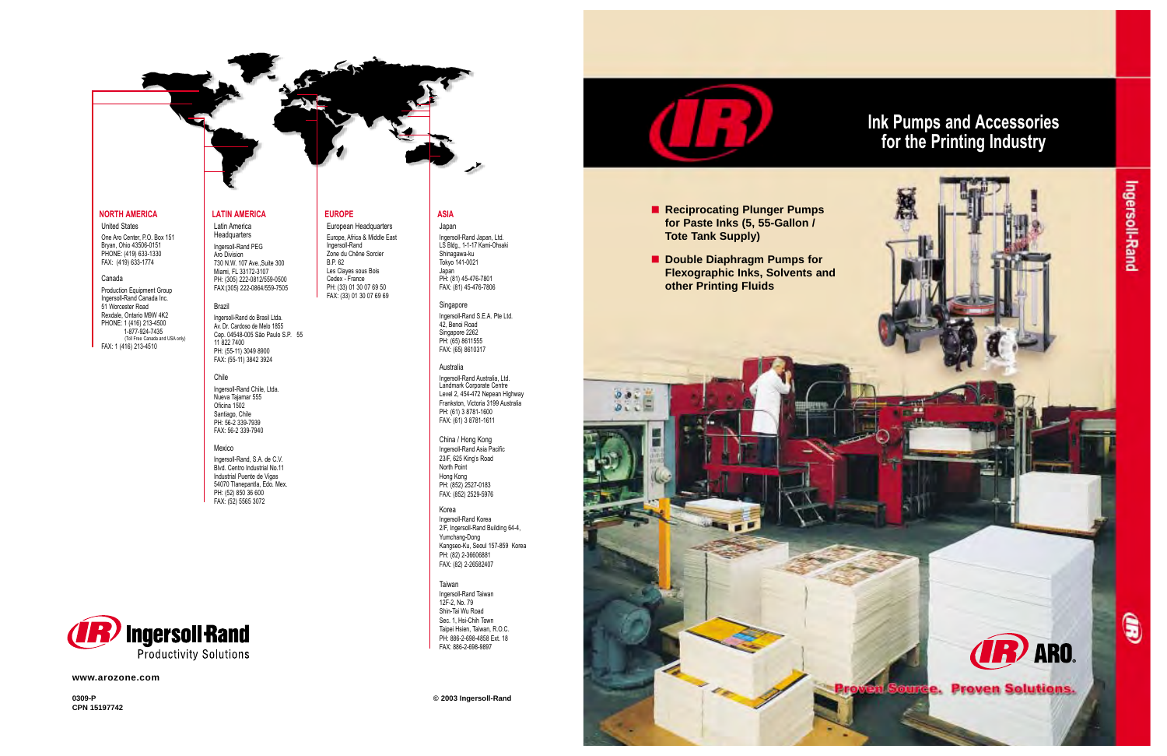**0309-P © 2003 Ingersoll-Rand**



**CPN 15197742**

#### **NORTH AMERICA**

United States

One Aro Center, P.O. Box 151 Bryan, Ohio 43506-0151 PHONE: (419) 633-1330 FAX: (419) 633-1774

#### Canada

Production Equipment Group Ingersoll-Rand Canada Inc. 51 Worcester Road Rexdale, Ontario M9W 4K2 PHONE: 1 (416) 213-4500 1-877-924-7435 (Toll Free Canada and USA only) FAX: 1 (416) 213-4510

#### **LATIN AMERICA**

Latin America **Headquarters** Ingersoll-Rand PEG Aro Division 730 N.W. 107 Ave.,Suite 300 Miami, FL 33172-3107 PH: (305) 222-0812/559-0500 FAX:(305) 222-0864/559-7505

#### Brazil

Ingersoll-Rand do Brasil Ltda. Av. Dr. Cardoso de Melo 1855 Cep. 04548-005 São Paulo S.P. 55 11 822 7400 PH: (55-11) 3049 8900 FAX: (55-11) 3842 3924

### Chile

Ingersoll-Rand Chile, Ltda. Nueva Tajamar 555 Oficina 1502 Santiago, Chile PH: 56-2 339-7939 FAX: 56-2 339-7940

#### Mexico

Ingersoll-Rand, S.A. de C.V. Blvd. Centro Industrial No.11 Industrial Puente de Vigas 54070 Tlanepantla, Edo. Mex. PH: (52) 850 36 600 FAX: (52) 5565 3072



#### **EUROPE** European Headquarters

Europe, Africa & Middle East Ingersoll-Rand Zone du Chêne Sorcier B.P. 62 Les Clayes sous Bois Cedex - France PH: (33) 01 30 07 69 50 FAX: (33) 01 30 07 69 69

- **E** Reciprocating Plunger Pumps **for Paste Inks (5, 55-Gallon / Tote Tank Supply)**
- **E** Double Diaphragm Pumps for **other Printing Fluids**

**ASIA** Japan

Ingersoll-Rand Japan, Ltd. LS Bldg., 1-1-17 Kami-Ohsaki Shinagawa-ku

#### Tokyo 141-0021 Japan PH: (81) 45-476-7801 FAX: (81) 45-476-7806

Singapore Ingersoll-Rand S.E.A. Pte Ltd. 42, Benoi Road Singapore 2262 PH: (65) 8611555 FAX: (65) 8610317

#### Australia

Ingersoll-Rand Australia, Ltd. Landmark Corporate Centre Level 2, 454-472 Nepean Highway Frankston, Victoria 3199 Australia PH: (61) 3 8781-1600 FAX: (61) 3 8781-1611

China / Hong Kong Ingersoll-Rand Asia Pacific 23/F, 625 King's Road North Point Hong Kong PH: (852) 2527-0183 FAX: (852) 2529-5976

#### Korea Ingersoll-Rand Korea 2/F, Ingersoll-Rand Building 64-4, Yumchang-Dong Kangseo-Ku, Seoul 157-859 Korea PH: (82) 2-36606881 FAX: (82) 2-26582407

Taiwan Ingersoll-Rand Taiwan 12F-2, No. 79 Shin-Tai Wu Road Sec. 1, Hsi-Chih Town Taipei Hsien, Taiwan, R.O.C. PH: 886-2-698-4858 Ext. 18 FAX: 886-2-698-9897

**www.arozone.com**

# **Ink Pumps and Accessories for the Printing Industry**

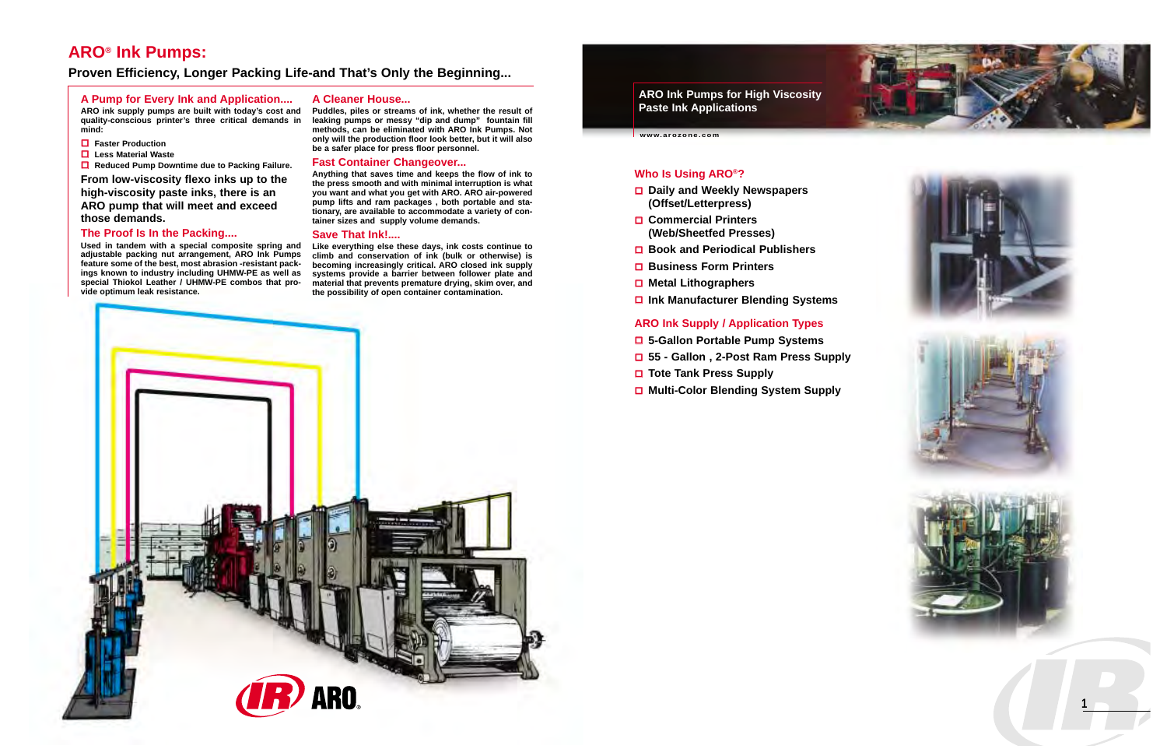**ARO Ink Pumps for High Viscosity Paste Ink Applications**

**www.arozone.com**



#### **A Pump for Every Ink and Application....**

**ARO ink supply pumps are built with today's cost and quality-conscious printer's three critical demands in mind:** 

- **Faster Production**
- **Less Material Waste**

**■** Reduced Pump Downtime due to Packing Failure.

**From low-viscosity flexo inks up to the high-viscosity paste inks, there is an ARO pump that will meet and exceed those demands.** 

#### **The Proof Is In the Packing....**

**Used in tandem with a special composite spring and adjustable packing nut arrangement, ARO Ink Pumps feature some of the best, most abrasion -resistant packings known to industry including UHMW-PE as well as special Thiokol Leather / UHMW-PE combos that provide optimum leak resistance.**

#### **A Cleaner House...**

**Puddles, piles or streams of ink, whether the result of leaking pumps or messy "dip and dump" fountain fill methods, can be eliminated with ARO Ink Pumps. Not only will the production floor look better, but it will also be a safer place for press floor personnel.**

#### **Fast Container Changeover...**

**Anything that saves time and keeps the flow of ink to the press smooth and with minimal interruption is what you want and what you get with ARO. ARO air-powered pump lifts and ram packages , both portable and stationary, are available to accommodate a variety of container sizes and supply volume demands.**

#### **Save That Ink!....**

**Like everything else these days, ink costs continue to climb and conservation of ink (bulk or otherwise) is becoming increasingly critical. ARO closed ink supply systems provide a barrier between follower plate and material that prevents premature drying, skim over, and the possibility of open container contamination.**

# **Who Is Using ARO®?**

- **Daily and Weekly Newspapers (Offset/Letterpress)**
- **Commercial Printers (Web/Sheetfed Presses)**
- **Book and Periodical Publishers**
- **Business Form Printers**
- **Metal Lithographers**
- **Ink Manufacturer Blending Systems**

### **ARO Ink Supply / Application Types**

- **5-Gallon Portable Pump Systems**
- **55 Gallon , 2-Post Ram Press Supply**
- **Tote Tank Press Supply**
- **Multi-Color Blending System Supply**











## **ARO® Ink Pumps:**

### **Proven Efficiency, Longer Packing Life-and That's Only the Beginning...**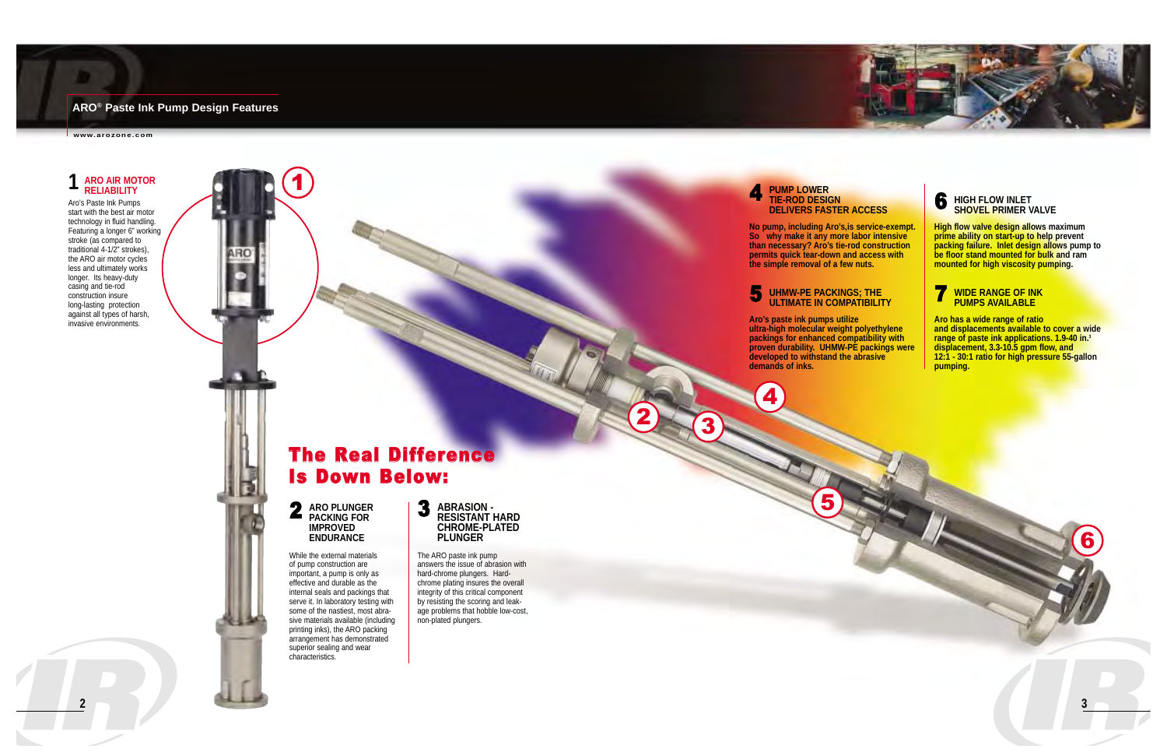### **ARO® Paste Ink Pump Design Features**

**www.arozone.com**

## **4** PUMP LOWER TIE-ROD DESIGN **DELIVERS FASTER ACCESS**

**No pump, including Aro's,is service-exempt. So why make it any more labor intensive than necessary? Aro's tie-rod construction permits quick tear-down and access with the simple removal of a few nuts.**

**Aro's paste ink pumps utilize ultra-high molecular weight polyethylene packings for enhanced compatibility with proven durability. UHMW-PE packings were developed to withstand the abrasive demands of inks.**

2 **ARO PLUNGER**<br>PACKING FOR **IMPROVED ENDURANCE**

# 6 **HIGH FLOW INLET SHOVEL PRIMER VALVE**

**High flow valve design allows maximum prime ability on start-up to help prevent packing failure. Inlet design allows pump to be floor stand mounted for bulk and ram mounted for high viscosity pumping.**



**Aro has a wide range of ratio and displacements available to cover a wide range of paste ink applications. 1.9-40 in.3 displacement, 3.3-10.5 gpm flow, and 12:1 - 30:1 ratio for high pressure 55-gallon pumping.** 

# The Real Difference Is Down Below:



While the external materials of pump construction are important, a pump is only as effective and durable as the internal seals and packings that serve it. In laboratory testing with some of the nastiest, most abrasive materials available (including printing inks), the ARO packing arrangement has demonstrated superior sealing and wear characteristics.



The ARO paste ink pump answers the issue of abrasion with hard-chrome plungers. Hardchrome plating insures the overall integrity of this critical component by resisting the scoring and leakage problems that hobble low-cost, non-plated plungers.

# **1 ARO AIR MOTOR RELIABILITY**

Aro's Paste Ink Pumps start with the best air motor technology in fluid handling. Featuring a longer 6" working stroke (as compared to traditional 4-1/2" strokes), the ARO air motor cycles less and ultimately works longer. Its heavy-duty casing and tie-rod construction insure long-lasting protection against all types of harsh, invasive environments.

1

3

4

2

5



# **5** UHMW-PE PACKINGS; THE ULTIMATE IN COMPATIBILITY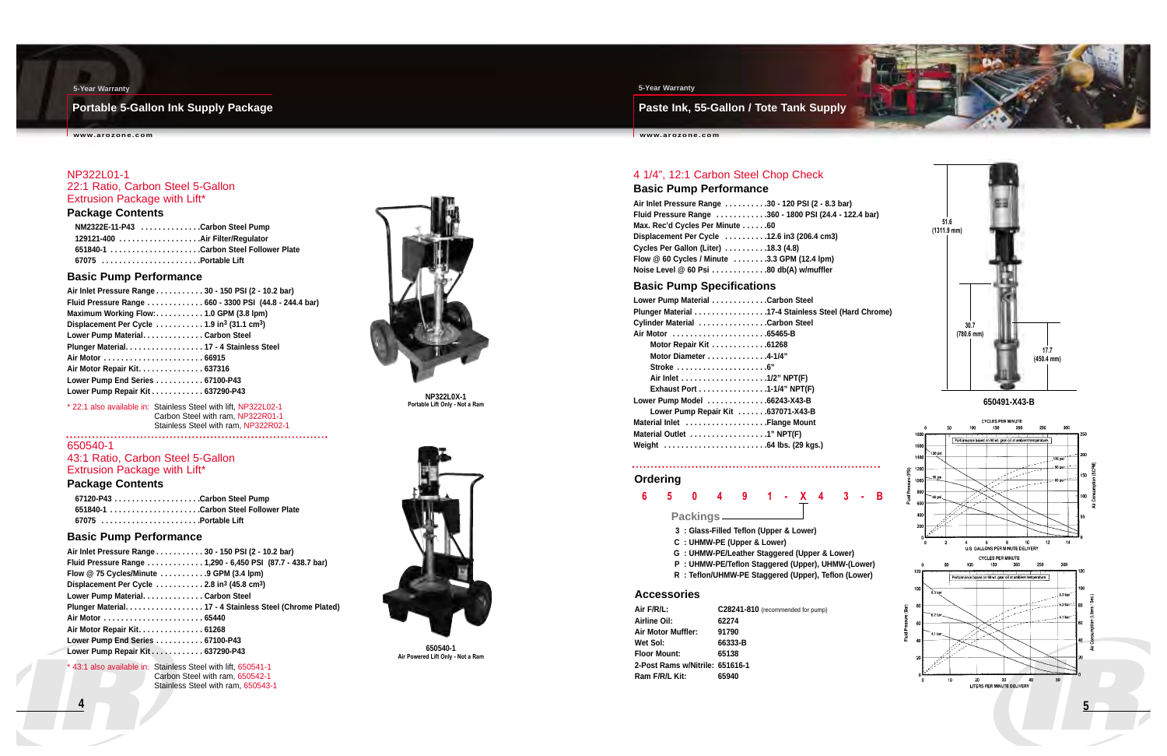**Paste Ink, 55-Gallon / Tote Tank Supply**

**www.arozone.com**

#### **5-Year Warranty**

### **Portable 5-Gallon Ink Supply Package**

**www.arozone.com**

#### **5-Year Warranty**

**NP322L0X-1 Portable Lift Only - Not a Ram**

#### NP322L01-1 22:1 Ratio, Carbon Steel 5-Gallon Extrusion Package with Lift\*

#### **Package Contents**

| NM2322E-11-P43 Carbon Steel Pump                                    |  |
|---------------------------------------------------------------------|--|
| 129121-400 Air Filter/Regulator                                     |  |
| 651840-1 ...............................Carbon Steel Follower Plate |  |
|                                                                     |  |

#### **Basic Pump Performance**

| Air Inlet Pressure Range 30 - 150 PSI (2 - 10.2 bar)                                      |  |
|-------------------------------------------------------------------------------------------|--|
| Fluid Pressure Range  660 - 3300 PSI (44.8 - 244.4 bar)                                   |  |
| Maximum Working Flow:1.0 GPM (3.8 lpm)                                                    |  |
| Displacement Per Cycle $\dots\dots\dots\dots$ 1.9 in <sup>3</sup> (31.1 cm <sup>3</sup> ) |  |
| Lower Pump Material. Carbon Steel                                                         |  |
| Plunger Material 17 - 4 Stainless Steel                                                   |  |
| Air Motor  66915                                                                          |  |
| Air Motor Repair Kit. 637316                                                              |  |
| Lower Pump End Series  67100-P43                                                          |  |
| Lower Pump Repair Kit 637290-P43                                                          |  |
|                                                                                           |  |

43:1 also available in: Stainless Steel with lift, 650541-1 Carbon Steel with ram, 650542-1 Stainless Steel with ram, 650543-1



\* 22:1 also available in: Stainless Steel with lift, NP322L02-1 Carbon Steel with ram, NP322R01-1 Stainless Steel with ram, NP322R02-1 



#### 650540-1 43:1 Ratio, Carbon Steel 5-Gallon Extrusion Package with Lift\*

#### **Package Contents**

| 67120-P43 Carbon Steel Pump          |  |
|--------------------------------------|--|
| 651840-1 Carbon Steel Follower Plate |  |
| 67075 Portable Lift                  |  |

### **Basic Pump Performance**

| Air Inlet Pressure Range 30 - 150 PSI (2 - 10.2 bar)                |
|---------------------------------------------------------------------|
| Fluid Pressure Range 1,290 - 6,450 PSI (87.7 - 438.7 bar)           |
| Flow $@$ 75 Cycles/Minute $\dots \dots \dots$ 9 GPM (3.4 lpm)       |
| Displacement Per Cycle  2.8 in <sup>3</sup> (45.8 cm <sup>3</sup> ) |
| Lower Pump Material. Carbon Steel                                   |
| Plunger Material. 17 - 4 Stainless Steel (Chrome Plated)            |
|                                                                     |
| Air Motor Repair Kit 61268                                          |
| Lower Pump End Series 67100-P43                                     |
| Lower Pump Repair Kit 637290-P43                                    |
|                                                                     |

### 4 1/4", 12:1 Carbon Steel Chop Check

**Basic Pump Performance**

| Air Inlet Pressure Range 30 - 120 PSI (2 - 8.3 bar)              |  |
|------------------------------------------------------------------|--|
| Fluid Pressure Range 360 - 1800 PSI (24.4 - 12                   |  |
| Max. Rec'd Cycles Per Minute 60                                  |  |
| Displacement Per Cycle $\dots \dots \dots 12.6$ in 3 (206.4 cm3) |  |
| Cycles Per Gallon (Liter) $\ldots \ldots \ldots$ 18.3 (4.8)      |  |
| Flow @ 60 Cycles / Minute 3.3 GPM (12.4 lpm)                     |  |
| Noise Level @ 60 Psi 80 db(A) w/muffler                          |  |

#### **Basic Pump Specifications**

| Lower Pump Material Carbon Steel                              |  |
|---------------------------------------------------------------|--|
| Plunger Material 17-4 Stainless Steel (H                      |  |
| Cylinder Material Carbon Steel                                |  |
|                                                               |  |
| Motor Repair Kit 61268                                        |  |
| Motor Diameter 4-1/4"                                         |  |
| Stroke $\ldots \ldots \ldots \ldots \ldots \ldots \ldots$ .6" |  |
|                                                               |  |
| Exhaust Port 1-1/4" NPT(F)                                    |  |
| Lower Pump Model 66243-X43-B                                  |  |
| Lower Pump Repair Kit 637071-X43-B                            |  |
| Material Inlet Flange Mount                                   |  |
| Material Outlet 1" NPT(F)                                     |  |
|                                                               |  |
|                                                               |  |

### **6 5 0 4 9 1 - X 4 3 - B**

#### **Packings**

- **3 : Glass-Filled Teflon (Upper & Lower)**
- **C : UHMW-PE (Upper & Lower)**
- **G : UHMW-PE/Leather Staggered (Upper & Lower)**
- **P : UHMW-PE/Teflon Staggered (Upper), UHMW-(Lower)**
- **R : Teflon/UHMW-PE Staggered (Upper), Teflon (Lower)**

#### **Accessories**

| Air F/R/L:                      | C28241-810 (recommended for pump) |
|---------------------------------|-----------------------------------|
| Airline Oil:                    | 62274                             |
| <b>Air Motor Muffler:</b>       | 91790                             |
| Wet Sol:                        | 66333-B                           |
| <b>Floor Mount:</b>             | 65138                             |
| 2-Post Rams w/Nitrile: 651616-1 |                                   |
| Ram F/R/L Kit:                  | 65940                             |

#### **Ordering**





**Air Powered Lift Only - Not a Ram**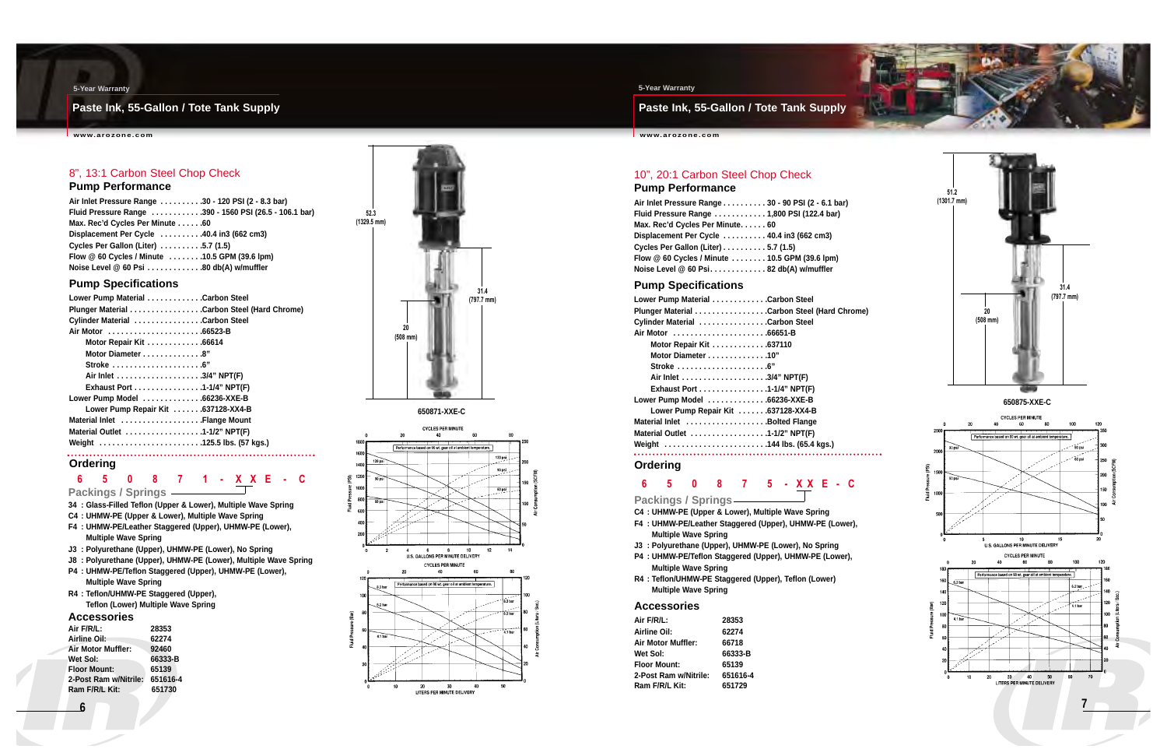**Paste Ink, 55-Gallon / Tote Tank Supply**

**www.arozone.com**

#### **5-Year Warranty**

### **Paste Ink, 55-Gallon / Tote Tank Supply**

**www.arozone.com**



#### **5-Year Warranty**

## 8", 13:1 Carbon Steel Chop Check

### **Pump Performance**

| Air Inlet Pressure Range 30 - 120 PSI (2 - 8.3 bar)          |  |
|--------------------------------------------------------------|--|
| Fluid Pressure Range 390 - 1560 PSI (26.5 - 106.1 bar)       |  |
| Max. Rec'd Cycles Per Minute 60                              |  |
| Displacement Per Cycle $\dots\dots\dots40.4$ in 3 (662 cm 3) |  |
| Cycles Per Gallon (Liter) $\ldots \ldots \ldots$ .5.7 (1.5)  |  |
| Flow @ 60 Cycles / Minute 10.5 GPM (39.6 lpm)                |  |
| Noise Level @ 60 Psi 80 db(A) w/muffler                      |  |

#### **Pump Specifications**

| Lower Pump Material Carbon Steel                               |
|----------------------------------------------------------------|
|                                                                |
| Cylinder Material Carbon Steel                                 |
|                                                                |
| Motor Repair Kit 66614                                         |
| Motor Diameter 8"                                              |
| Stroke $\ldots \ldots \ldots \ldots \ldots \ldots \ldots$ . 6" |
|                                                                |
| Exhaust Port 1-1/4" NPT(F)                                     |
| Lower Pump Model 66236-XXE-B                                   |
| Lower Pump Repair Kit  637128-XX4-B                            |
| Material Inlet Flange Mount                                    |
| Material Outlet 1-1/2" NPT(F)                                  |
| Weight 125.5 lbs. (57 kgs.)                                    |
|                                                                |



### **6 5 0 8 7 1 - X X E - C**

**Packings / Springs**



- **34 : Glass-Filled Teflon (Upper & Lower), Multiple Wave Spring**
- **C4 : UHMW-PE (Upper & Lower), Multiple Wave Spring**
- **F4 : UHMW-PE/Leather Staggered (Upper), UHMW-PE (Lower), Multiple Wave Spring**
- **J3 : Polyurethane (Upper), UHMW-PE (Lower), No Spring**
- **J8 : Polyurethane (Upper), UHMW-PE (Lower), Multiple Wave Spring**
- **P4 : UHMW-PE/Teflon Staggered (Upper), UHMW-PE (Lower), Multiple Wave Spring**
- **R4 : Teflon/UHMW-PE Staggered (Upper), Teflon (Lower) Multiple Wave Spring**

#### **Accessories**

| Air F/R/L:            | 28353    |
|-----------------------|----------|
| Airline Oil:          | 62274    |
| Air Motor Muffler:    | 92460    |
| Wet Sol:              | 66333-B  |
| <b>Floor Mount:</b>   | 65139    |
| 2-Post Ram w/Nitrile: | 651616-4 |
| Ram F/R/L Kit:        | 651730   |
|                       |          |

#### 10", 20:1 Carbon Steel Chop Check **Pump Performance**

| Air Inlet Pressure Range 30 - 90 PSI (2 - 6.1 bar)            |  |
|---------------------------------------------------------------|--|
| Fluid Pressure Range  1,800 PSI (122.4 bar)                   |  |
| Max. Rec'd Cycles Per Minute 60                               |  |
| Displacement Per Cycle $\dots\dots\dots$ 40.4 in 3 (662 cm 3) |  |
| Cycles Per Gallon (Liter) 5.7 (1.5)                           |  |
| Flow @ 60 Cycles / Minute  10.5 GPM (39.6 lpm)                |  |
| Noise Level @ 60 Psi82 db(A) w/muffler                        |  |

#### **Pump Specifications**

| Lower Pump Material Carbon Steel                              |                                             |
|---------------------------------------------------------------|---------------------------------------------|
|                                                               | Plunger Material Carbon Steel (Hard Chrome) |
| Cylinder Material Carbon Steel                                |                                             |
| Air Motor 66651-B                                             |                                             |
| Motor Repair Kit 637110                                       |                                             |
| Motor Diameter 10"                                            |                                             |
| Stroke $\ldots \ldots \ldots \ldots \ldots \ldots \ldots$ .6" |                                             |
|                                                               |                                             |
| Exhaust Port 1-1/4" NPT(F)                                    |                                             |
| Lower Pump Model 66236-XXE-B                                  |                                             |
| Lower Pump Repair Kit 637128-XX4-B                            |                                             |
| Material Inlet Bolted Flange                                  |                                             |
| Material Outlet 1-1/2" NPT(F)                                 |                                             |
| Weight 144 lbs. (65.4 kgs.)                                   |                                             |
|                                                               |                                             |

**6 5 0 8 7 5 - X X E - C**

**Packings / Springs**

**C4 : UHMW-PE (Upper & Lower), Multiple Wave Spring**

- **F4 : UHMW-PE/Leather Staggered (Upper), UHMW-PE (Lower), Multiple Wave Spring**
- **J3 : Polyurethane (Upper), UHMW-PE (Lower), No Spring**
- **P4 : UHMW-PE/Teflon Staggered (Upper), UHMW-PE (Lower), Multiple Wave Spring**
- **R4 : Teflon/UHMW-PE Staggered (Upper), Teflon (Lower) Multiple Wave Spring**

#### **Accessories**

| Air F/R/L:            | 28353    |
|-----------------------|----------|
| Airline Oil:          | 62274    |
| Air Motor Muffler:    | 66718    |
| Wet Sol:              | 66333-B  |
| <b>Floor Mount:</b>   | 65139    |
| 2-Post Ram w/Nitrile: | 651616-4 |
| Ram F/R/L Kit:        | 651729   |
|                       |          |

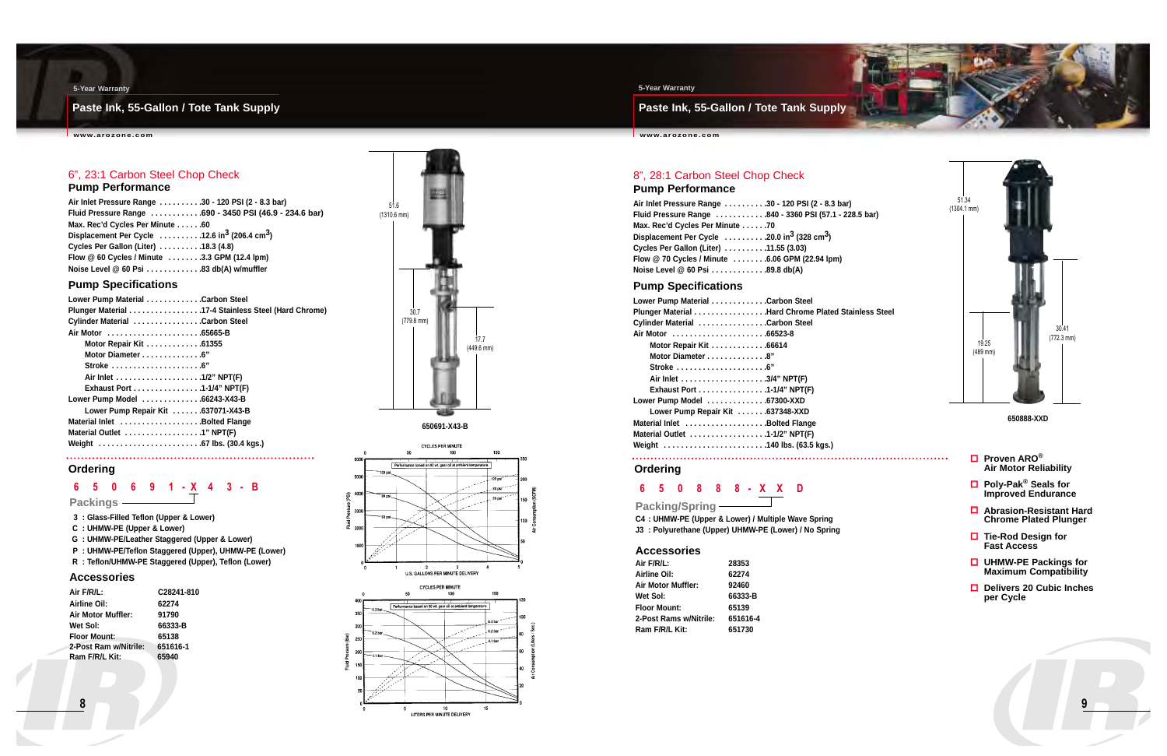**Paste Ink, 55-Gallon / Tote Tank Supply**

**www.arozone.com**



#### **5-Year Warranty**

### **Paste Ink, 55-Gallon / Tote Tank Supply**

**www.arozone.com**





#### **5-Year Warranty**

## **6 5 0 6 9 1 - X 4 3 - B**



**Packings**

- **3 : Glass-Filled Teflon (Upper & Lower)**
- **C : UHMW-PE (Upper & Lower)**
- **G : UHMW-PE/Leather Staggered (Upper & Lower)**
- **P : UHMW-PE/Teflon Staggered (Upper), UHMW-PE (Lower)**
- **R : Teflon/UHMW-PE Staggered (Upper), Teflon (Lower)**

#### **Accessories**

| Air F/R/L:            | C28241-810 |
|-----------------------|------------|
| Airline Oil:          | 62274      |
| Air Motor Muffler:    | 91790      |
| Wet Sol:              | 66333-B    |
| <b>Floor Mount:</b>   | 65138      |
| 2-Post Ram w/Nitrile: | 651616-1   |
| Ram F/R/L Kit:        | 65940      |
|                       |            |

### 6", 23:1 Carbon Steel Chop Check

#### **Pump Performance**

| Air Inlet Pressure Range 30 - 120 PSI (2 - 8.3 bar)                                      |  |
|------------------------------------------------------------------------------------------|--|
| Fluid Pressure Range 690 - 3450 PSI (46.9 - 234.6 bar)                                   |  |
| Max. Rec'd Cycles Per Minute 60                                                          |  |
| Displacement Per Cycle $\dots \dots \dots 12.6$ in <sup>3</sup> (206.4 cm <sup>3</sup> ) |  |
| Cycles Per Gallon (Liter) 18.3 (4.8)                                                     |  |
| Flow @ 60 Cycles / Minute 3.3 GPM (12.4 lpm)                                             |  |
| Noise Level @ 60 Psi 83 db(A) w/muffler                                                  |  |

#### **Pump Specifications**

| Lower Pump Material Carbon Steel                               |  |
|----------------------------------------------------------------|--|
| Plunger Material 17-4 Stainless Steel (Hard Chrome)            |  |
| Cylinder Material Carbon Steel                                 |  |
|                                                                |  |
| Motor Repair Kit 61355                                         |  |
| Motor Diameter 6"                                              |  |
| Stroke $\ldots \ldots \ldots \ldots \ldots \ldots \ldots$ . 6" |  |
| Air Inlet 1/2" NPT(F)                                          |  |
| Exhaust Port 1-1/4" NPT(F)                                     |  |
| Lower Pump Model 66243-X43-B                                   |  |
| Lower Pump Repair Kit  637071-X43-B                            |  |
| Material Inlet Bolted Flange                                   |  |
| Material Outlet 1" NPT(F)                                      |  |
|                                                                |  |
|                                                                |  |

**650691-X43-B**

#### 8", 28:1 Carbon Steel Chop Check **Pump Performance**

**Fluid Pressure Range . . . . . . . . . . . .840 - 3360 PSI (57.1 - 228.5 bar)**

| Air Inlet Pressure Range 30 - 120 PSI (2 - 8.3 bar)                                    |  |
|----------------------------------------------------------------------------------------|--|
| Fluid Pressure Range 840 - 3360 PSI (57.1 - 22                                         |  |
| Max. Rec'd Cycles Per Minute 70                                                        |  |
| Displacement Per Cycle $\dots \dots \dots 20.0$ in <sup>3</sup> (328 cm <sup>3</sup> ) |  |
| Cycles Per Gallon (Liter) 11.55 (3.03)                                                 |  |
| Flow @ 70 Cycles / Minute 6.06 GPM (22.94 lpm)                                         |  |
| Noise Level @ 60 Psi 89.8 db(A)                                                        |  |

#### **Pump Specifications**

| Lower Pump Material Carbon Steel                              |  |
|---------------------------------------------------------------|--|
| Plunger Material Hard Chrome Plated Stainless Steel           |  |
| Cylinder Material Carbon Steel                                |  |
|                                                               |  |
| Motor Repair Kit 66614                                        |  |
| Motor Diameter 8"                                             |  |
| Stroke $\ldots \ldots \ldots \ldots \ldots \ldots \ldots$ .6" |  |
|                                                               |  |
| Exhaust Port 1-1/4" NPT(F)                                    |  |
| Lower Pump Model 67300-XXD                                    |  |
| Lower Pump Repair Kit 637348-XXD                              |  |
| Material Inlet Bolted Flange                                  |  |
| Material Outlet 1-1/2" NPT(F)                                 |  |
| Weight 140 lbs. (63.5 kgs.)                                   |  |
|                                                               |  |

**650888-XXD**

- **Proven ARO® Air Motor Reliability**
- **Poly-Pak® Seals for Improved Endurance**
- **Abrasion-Resistant Hard Chrome Plated Plunger**
- **Tie-Rod Design for Fast Access**
- **UHMW-PE Packings for Maximum Compatibility**
- **Delivers 20 Cubic Inches per Cycle**





LITERS PER MINUTE DELIVERY

### **6 5 0 8 8 8 - X X D**

**Packing/Spring**

**C4 : UHMW-PE (Upper & Lower) / Multiple Wave Spring J3 : Polyurethane (Upper) UHMW-PE (Lower) / No Spring**

#### **Accessories**

| Air F/R/L:                | 28353    |
|---------------------------|----------|
| Airline Oil:              | 62274    |
| <b>Air Motor Muffler:</b> | 92460    |
| Wet Sol:                  | 66333-B  |
| <b>Floor Mount:</b>       | 65139    |
| 2-Post Rams w/Nitrile:    | 651616-4 |
| Ram F/R/L Kit:            | 651730   |

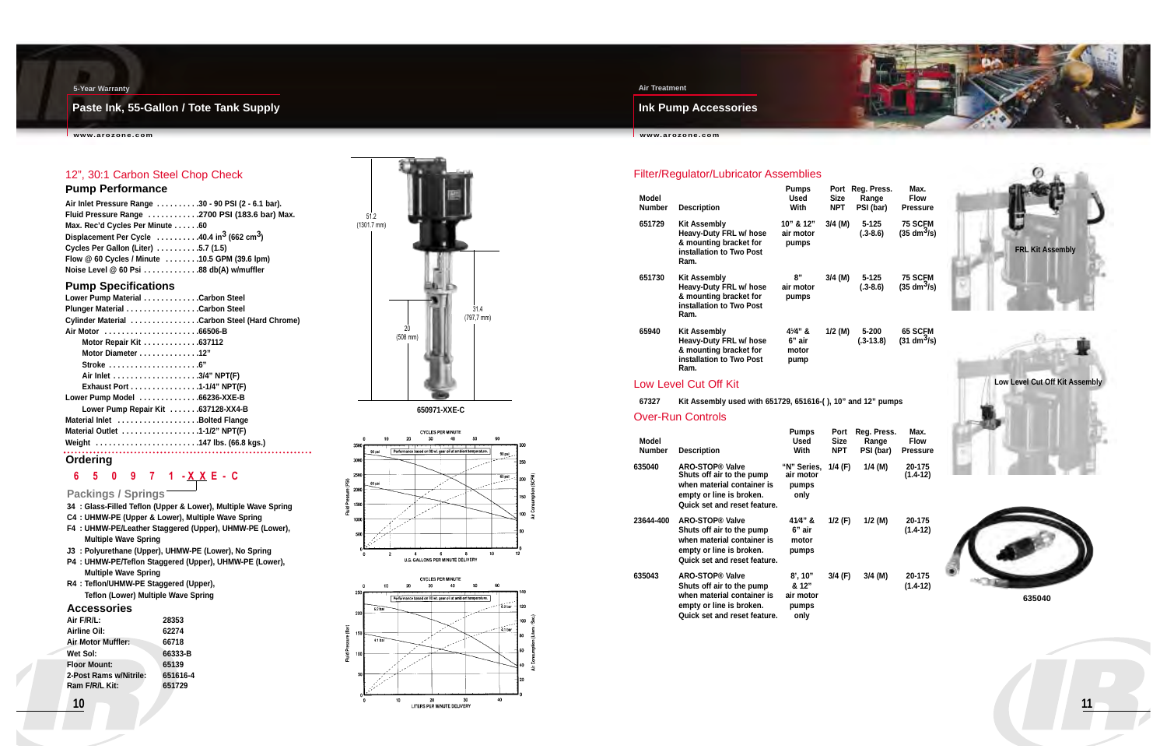### **Ink Pump Accessories**

**www.arozone.com**

**11**

#### **Air Treatment**

### **Paste Ink, 55-Gallon / Tote Tank Supply**

**www.arozone.com**



#### **5-Year Warranty**

### 12", 30:1 Carbon Steel Chop Check

#### **Pump Performance**

| Air Inlet Pressure Range 30 - 90 PSI (2 - 6.1 bar).                |  |
|--------------------------------------------------------------------|--|
| Fluid Pressure Range 2700 PSI (183.6 bar) Max.                     |  |
| Max. Rec'd Cycles Per Minute 60                                    |  |
| Displacement Per Cycle 40.4 in <sup>3</sup> (662 cm <sup>3</sup> ) |  |
| Cycles Per Gallon (Liter) 5.7 (1.5)                                |  |
| Flow @ 60 Cycles / Minute 10.5 GPM (39.6 lpm)                      |  |
| Noise Level @ 60 Psi 88 db(A) w/muffler                            |  |

### **Pump Specifications**

| Lower Pump Material Carbon Steel                              |  |
|---------------------------------------------------------------|--|
|                                                               |  |
| Cylinder Material Carbon Steel (Hard Chrome)                  |  |
| Air Motor 66506-B                                             |  |
| Motor Repair Kit 637112                                       |  |
| Motor Diameter 12"                                            |  |
| Stroke $\ldots \ldots \ldots \ldots \ldots \ldots \ldots$ .6" |  |
|                                                               |  |
| Exhaust Port 1-1/4" NPT(F)                                    |  |
| Lower Pump Model 66236-XXE-B                                  |  |
| Lower Pump Repair Kit 637128-XX4-B                            |  |
| Material Inlet Bolted Flange                                  |  |
| Material Outlet 1-1/2" NPT(F)                                 |  |
| Weight 147 lbs. (66.8 kgs.)                                   |  |
|                                                               |  |

### **6 5 0 9 7 1 - X X E - C**

**Packings / Springs**

- **34 : Glass-Filled Teflon (Upper & Lower), Multiple Wave Spring**
- **C4 : UHMW-PE (Upper & Lower), Multiple Wave Spring**
- **F4 : UHMW-PE/Leather Staggered (Upper), UHMW-PE (Lower), Multiple Wave Spring**
- **J3 : Polyurethane (Upper), UHMW-PE (Lower), No Spring**
- **P4 : UHMW-PE/Teflon Staggered (Upper), UHMW-PE (Lower), Multiple Wave Spring**
- **R4 : Teflon/UHMW-PE Staggered (Upper), Teflon (Lower) Multiple Wave Spring**







#### **Accessories**

| Air F/R/L:             | 28353    |
|------------------------|----------|
| Airline Oil:           | 62274    |
| Air Motor Muffler:     | 66718    |
| Wet Sol:               | 66333-B  |
| <b>Floor Mount:</b>    | 65139    |
| 2-Post Rams w/Nitrile: | 651616-4 |
| Ram F/R/L Kit:         | 651729   |
|                        |          |

#### **Ordering**

### Filter/Regulator/Lubricator Assemblies

| Model<br><b>Number</b> | <b>Description</b>                                                                                          | Pumps<br>Used<br>With                    | Port<br>Size<br><b>NPT</b> | Reg. Press.<br>Range<br>PSI (bar) | Max.<br><b>Flow</b><br><b>Pressure</b>         |
|------------------------|-------------------------------------------------------------------------------------------------------------|------------------------------------------|----------------------------|-----------------------------------|------------------------------------------------|
| 651729                 | <b>Kit Assembly</b><br>Heavy-Duty FRL w/ hose<br>& mounting bracket for<br>installation to Two Post<br>Ram. | 10" & 12"<br>air motor<br>pumps          | $3/4$ (M)                  | $5 - 125$<br>$(.3-8.6)$           | <b>75 SCFM</b><br>$(35 \text{ dm}^3/\text{s})$ |
| 651730                 | Kit Assembly<br>Heavy-Duty FRL w/ hose<br>& mounting bracket for<br>installation to Two Post<br>Ram.        | 8"<br>air motor<br>pumps                 | $3/4$ (M)                  | $5 - 125$<br>$(.3 - 8.6)$         | <b>75 SCFM</b><br>$(35 \text{ dm}^3/\text{s})$ |
| 65940                  | <b>Kit Assembly</b><br>Heavy-Duty FRL w/ hose<br>& mounting bracket for<br>installation to Two Post<br>Ram. | $4^{1}/4$ " &<br>6" air<br>motor<br>pump | $1/2$ (M)                  | 5-200<br>$(.3 - 13.8)$            | <b>65 SCFM</b><br>$(31 \text{ dm}^3/\text{s})$ |

#### Low Level Cut Off Kit

#### **67327 Kit Assembly used with 651729, 651616-( ), 10" and 12" pumps**

#### Over-Run Controls

| Model<br><b>Number</b> | <b>Description</b>                                                                                                                            | <b>Pumps</b><br><b>Used</b><br>With               | Port<br><b>Size</b><br><b>NPT</b> | Reg. Press.<br>Range<br>PSI (bar) | Max.<br><b>Flow</b><br><b>Pressure</b> |
|------------------------|-----------------------------------------------------------------------------------------------------------------------------------------------|---------------------------------------------------|-----------------------------------|-----------------------------------|----------------------------------------|
| 635040                 | <b>ARO-STOP® Valve</b><br>Shuts off air to the pump<br>when material container is<br>empty or line is broken.<br>Quick set and reset feature. | "N" Series.<br>air motor<br>pumps<br>only         | 1/4 (F)                           | 1/4 (M)                           | 20-175<br>(1.4-12)                     |
| 23644-400              | <b>ARO-STOP® Valve</b><br>Shuts off air to the pump<br>when material container is<br>empty or line is broken.<br>Quick set and reset feature. | $41/4"$ &<br>6" air<br>motor<br>pumps             | $1/2$ (F)                         | $1/2$ (M)                         | 20-175<br>(1.4-12)                     |
| 635043                 | <b>ARO-STOP® Valve</b><br>Shuts off air to the pump<br>when material container is<br>empty or line is broken.<br>Quick set and reset feature. | $8'$ , 10"<br>& 12"<br>air motor<br>pumps<br>only | 3/4 (F)                           | $3/4$ (M)                         | 20-175<br>(1.4-12)                     |







| Range           | Flow                         |
|-----------------|------------------------------|
| <b>SI (bar)</b> | Pressure                     |
| $5 - 125$       | 75 SCFM                      |
| $(.3 - 8.6)$    | (35 dm <sup>3</sup> /s)      |
| $5 - 125$       | 75 SCFM                      |
| $(.3 - 8.6)$    | $(35 \text{ dm}^3/\text{s})$ |

**635040**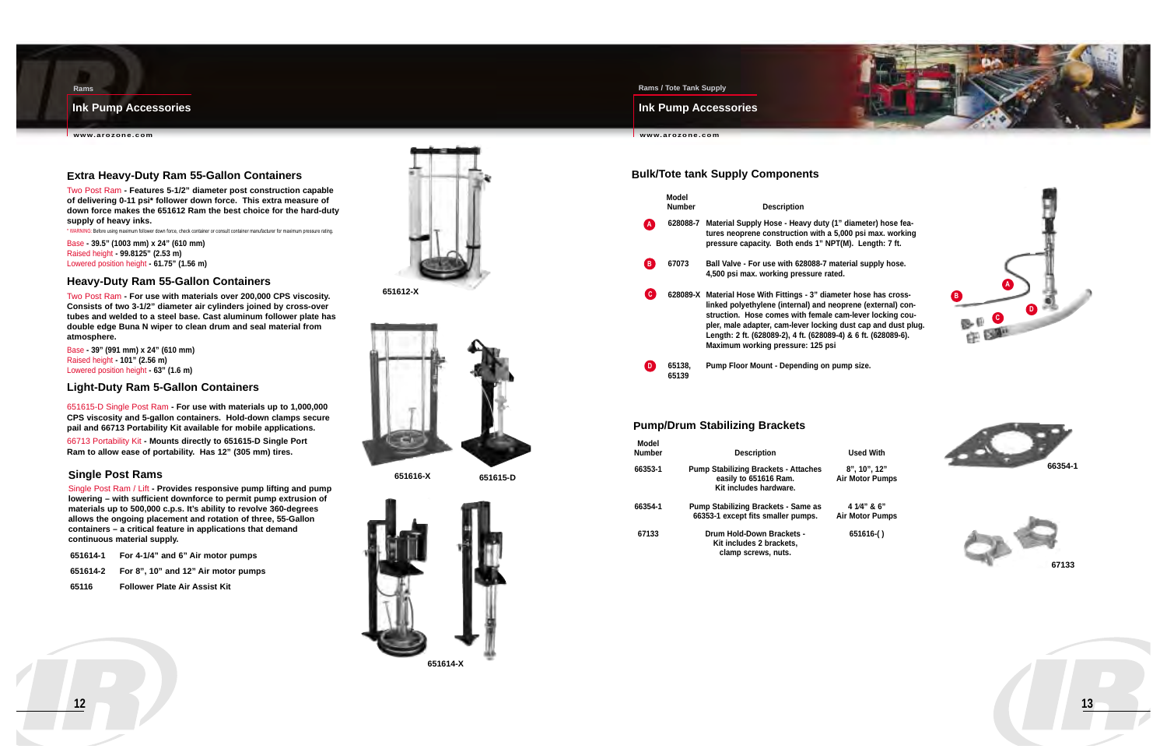#### **Ink Pump Accessories**

**www.arozone.com**



#### **Rams / Tote Tank Supply**

#### **Ink Pump Accessories**

**www.arozone.com**



meter) hose feapsi max. working **Length: 7 ft.** 

**8 Ball Supply hose.** 

**Rams**



### **Extra Heavy-Duty Ram 55-Gallon Containers**

Two Post Ram **- Features 5-1/2" diameter post construction capable of delivering 0-11 psi\* follower down force. This extra measure of down force makes the 651612 Ram the best choice for the hard-duty supply of heavy inks.**

\* WARNING: Before using maximum follower down force, check container or consult container manufacturer for maximum pressure rating.

Base **- 39.5" (1003 mm) x 24" (610 mm)** Raised height **- 99.8125" (2.53 m)** Lowered position height **- 61.75" (1.56 m)**

#### **Heavy-Duty Ram 55-Gallon Containers**

Two Post Ram **- For use with materials over 200,000 CPS viscosity. Consists of two 3-1/2" diameter air cylinders joined by cross-over tubes and welded to a steel base. Cast aluminum follower plate has double edge Buna N wiper to clean drum and seal material from atmosphere.**

Base **- 39" (991 mm) x 24" (610 mm)** Raised height **- 101" (2.56 m)** Lowered position height **- 63" (1.6 m)**

#### **Light-Duty Ram 5-Gallon Containers**

651615-D Single Post Ram **- For use with materials up to 1,000,000 CPS viscosity and 5-gallon containers. Hold-down clamps secure pail and 66713 Portability Kit available for mobile applications.**

66713 Portability Kit **- Mounts directly to 651615-D Single Port Ram to allow ease of portability. Has 12" (305 mm) tires.**

#### **Single Post Rams**

Single Post Ram / Lift **- Provides responsive pump lifting and pump lowering – with sufficient downforce to permit pump extrusion of materials up to 500,000 c.p.s. It's ability to revolve 360-degrees allows the ongoing placement and rotation of three, 55-Gallon containers – a critical feature in applications that demand continuous material supply.**

| 651614-1 | For 4-1/4" and 6" Air motor pumps   |
|----------|-------------------------------------|
| 651614-2 | For 8", 10" and 12" Air motor pumps |

**65116 Follower Plate Air Assist Kit**



|   | Model<br><b>Number</b> | <b>Description</b>                                                                                                                                                                                                                                                                                    |
|---|------------------------|-------------------------------------------------------------------------------------------------------------------------------------------------------------------------------------------------------------------------------------------------------------------------------------------------------|
| A |                        | 628088-7 Material Supply Hose - Heavy duty (1" diameter-<br>tures neoprene construction with a 5,000 psi r<br>pressure capacity. Both ends 1" NPT(M). Len                                                                                                                                             |
| B | 67073                  | Ball Valve - For use with 628088-7 material sup<br>4,500 psi max. working pressure rated.                                                                                                                                                                                                             |
| c |                        | 628089-X Material Hose With Fittings - 3" diameter hose<br>linked polyethylene (internal) and neoprene (e<br>struction. Hose comes with female cam-lever<br>pler, male adapter, cam-lever locking dust cap<br>Length: 2 ft. (628089-2), 4 ft. (628089-4) & 6 ft.<br>Maximum working pressure: 125 psi |
| D | 65138.                 | Pump Floor Mount - Depending on pump size.                                                                                                                                                                                                                                                            |

**628089-X Material Hose With Fittings - 3" diameter hose has crosslexternal) con**ever locking coucap and dust plug. **Length: 2 ft. (628089-2), 4 ft. (628089-4) & 6 ft. (628089-6).**

**65139**



#### **Bulk/Tote tank Supply Components**



**lotor Pumps** 

**1** Biotor Pumps



#### **Pump/Drum Stabilizing Brackets**

| Model<br>Number | <b>Description</b>                                                                             | <b>Used With</b>              |
|-----------------|------------------------------------------------------------------------------------------------|-------------------------------|
| 66353-1         | <b>Pump Stabilizing Brackets - Attaches</b><br>easily to 651616 Ram.<br>Kit includes hardware. | 8", 10", 12"<br>Air Motor Pun |
| 66354-1         | <b>Pump Stabilizing Brackets - Same as</b><br>66353-1 except fits smaller pumps.               | 4 1/4" & 6"<br>Air Motor Pun  |
| 67133           | Drum Hold-Down Brackets -<br>Kit includes 2 brackets,<br>clamp screws, nuts.                   | 651616()                      |

**651616-X 651615-D**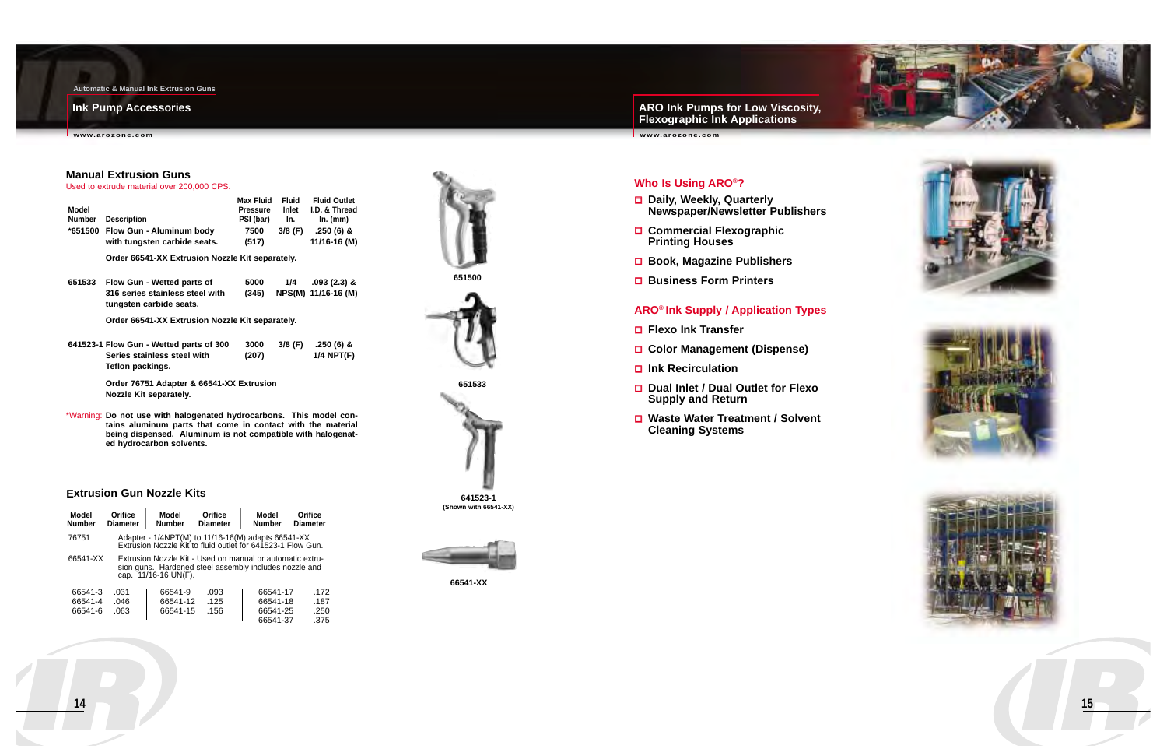**ARO Ink Pumps for Low Viscosity, Flexographic Ink Applications**

**www.arozone.com**

#### **Ink Pump Accessories**

**www.arozone.com**









**Automatic & Manual Ink Extrusion Guns**

| <b>Model</b><br><b>Number</b> | <b>Orifice</b><br><b>Diameter</b> | Model<br><b>Number</b> | Orifice<br><b>Diameter</b>                                                                                          | Model<br><b>Number</b> | Orifice<br><b>Diameter</b> |
|-------------------------------|-----------------------------------|------------------------|---------------------------------------------------------------------------------------------------------------------|------------------------|----------------------------|
| 76751                         |                                   |                        | Adapter - 1/4NPT(M) to 11/16-16(M) adapts 66541-XX<br>Extrusion Nozzle Kit to fluid outlet for 641523-1 Flow Gun.   |                        |                            |
| 66541-XX                      |                                   | cap. 11/16-16 UN(F).   | Extrusion Nozzle Kit - Used on manual or automatic extru-<br>sion guns. Hardened steel assembly includes nozzle and |                        |                            |
| 66541-3                       | .031                              | 66541-9                | .093                                                                                                                | 66541-17               | .172                       |
| 66541-4                       | .046                              | 66541-12               | .125                                                                                                                | 66541-18               | .187                       |
| 66541-6                       | .063                              | 66541-15               | .156                                                                                                                | 66541-25               | .250                       |

66541-37 .375

**66541-XX**

#### **Extrusion Gun Nozzle Kits**





**641523-1 (Shown with 66541-XX)**



#### **Manual Extrusion Guns**

Used to extrude material over 200,000 CPS.

| Model<br><b>Number</b><br>*651500 | <b>Description</b><br>Flow Gun - Aluminum body<br>with tungsten carbide seats.                                                              | <b>Max Fluid</b><br><b>Pressure</b><br>PSI (bar)<br>7500<br>(517) | <b>Fluid</b><br>Inlet<br>In.<br>$3/8$ (F) | <b>Fluid Outlet</b><br>I.D. & Thread<br>$ln.$ (mm)<br>$.250(6)$ &<br>11/16-16 (M) |
|-----------------------------------|---------------------------------------------------------------------------------------------------------------------------------------------|-------------------------------------------------------------------|-------------------------------------------|-----------------------------------------------------------------------------------|
|                                   | Order 66541-XX Extrusion Nozzle Kit separately.                                                                                             |                                                                   |                                           |                                                                                   |
| 651533                            | Flow Gun - Wetted parts of<br>316 series stainless steel with<br>tungsten carbide seats.<br>Order 66541-XX Extrusion Nozzle Kit separately. | 5000<br>(345)                                                     | 1/4<br>NPS(M)                             | $.093(2.3)$ &<br>11/16-16 (M)                                                     |

- **Explorer** Flexo Ink Transfer
- **Color Management (Dispense)**
- **Ink Recirculation**
- **Dual Inlet / Dual Outlet for Flexo Supply and Return**
- **Waste Water Treatment / Solvent Cleaning Systems**

**641523-1 Flow Gun - Wetted parts of 300 3000 3/8 (F) .250 (6) & Series stainless steel with (207) 1/4 NPT(F) Teflon packings.** 

> **Order 76751 Adapter & 66541-XX Extrusion Nozzle Kit separately.**

\*Warning: **Do not use with halogenated hydrocarbons. This model contains aluminum parts that come in contact with the material being dispensed. Aluminum is not compatible with halogenated hydrocarbon solvents.**



### **Who Is Using ARO®?**

- **Daily, Weekly, Quarterly Newspaper/Newsletter Publishers**
- **Commercial Flexographic Printing Houses**
- **Book, Magazine Publishers**
- **Business Form Printers**

#### **ARO® Ink Supply / Application Types**

**15**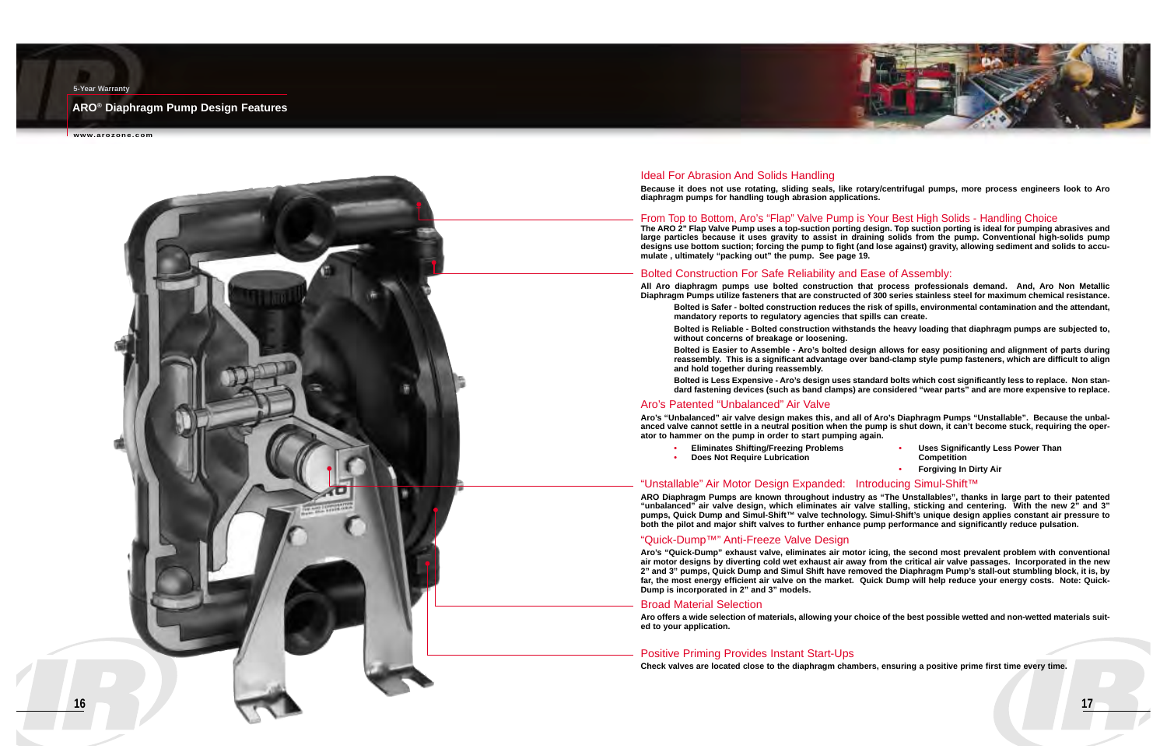**17**

#### **ARO® Diaphragm Pump Design Features**

**www.arozone.com**

#### **5-Year Warranty**

#### Ideal For Abrasion And Solids Handling

**Because it does not use rotating, sliding seals, like rotary/centrifugal pumps, more process engineers look to Aro diaphragm pumps for handling tough abrasion applications.**

#### From Top to Bottom, Aro's "Flap" Valve Pump is Your Best High Solids - Handling Choice

**The ARO 2" Flap Valve Pump uses a top-suction porting design. Top suction porting is ideal for pumping abrasives and large particles because it uses gravity to assist in draining solids from the pump. Conventional high-solids pump designs use bottom suction; forcing the pump to fight (and lose against) gravity, allowing sediment and solids to accumulate , ultimately "packing out" the pump. See page 19.**

#### Bolted Construction For Safe Reliability and Ease of Assembly:

**All Aro diaphragm pumps use bolted construction that process professionals demand. And, Aro Non Metallic Diaphragm Pumps utilize fasteners that are constructed of 300 series stainless steel for maximum chemical resistance. Bolted is Safer - bolted construction reduces the risk of spills, environmental contamination and the attendant,**

**Bolted is Reliable - Bolted construction withstands the heavy loading that diaphragm pumps are subjected to,**

- **mandatory reports to regulatory agencies that spills can create. without concerns of breakage or loosening.**
- **and hold together during reassembly.**

**Bolted is Easier to Assemble - Aro's bolted design allows for easy positioning and alignment of parts during reassembly. This is a significant advantage over band-clamp style pump fasteners, which are difficult to align**

**Bolted is Less Expensive - Aro's design uses standard bolts which cost significantly less to replace. Non standard fastening devices (such as band clamps) are considered "wear parts" and are more expensive to replace.**

#### Aro's Patented "Unbalanced" Air Valve

**Aro's "Unbalanced" air valve design makes this, and all of Aro's Diaphragm Pumps "Unstallable". Because the unbalanced valve cannot settle in a neutral position when the pump is shut down, it can't become stuck, requiring the operator to hammer on the pump in order to start pumping again.**

- 
- **Does Not Require Lubrication**
- **Eliminates Shifting/Freezing Problems • Uses Significantly Less Power Than** 
	- **•Forgiving In Dirty Air**

#### "Unstallable" Air Motor Design Expanded: Introducing Simul-Shift™

**ARO Diaphragm Pumps are known throughout industry as "The Unstallables", thanks in large part to their patented "unbalanced" air valve design, which eliminates air valve stalling, sticking and centering. With the new 2" and 3" pumps, Quick Dump and Simul-Shift™ valve technology. Simul-Shift's unique design applies constant air pressure to both the pilot and major shift valves to further enhance pump performance and significantly reduce pulsation.**

#### "Quick-Dump™" Anti-Freeze Valve Design



**Aro's "Quick-Dump" exhaust valve, eliminates air motor icing, the second most prevalent problem with conventional air motor designs by diverting cold wet exhaust air away from the critical air valve passages. Incorporated in the new 2" and 3" pumps, Quick Dump and Simul Shift have removed the Diaphragm Pump's stall-out stumbling block, it is, by far, the most energy efficient air valve on the market. Quick Dump will help reduce your energy costs. Note: Quick-Dump is incorporated in 2" and 3" models.**

#### Broad Material Selection

**Aro offers a wide selection of materials, allowing your choice of the best possible wetted and non-wetted materials suited to your application.**

#### Positive Priming Provides Instant Start-Ups

**Check valves are located close to the diaphragm chambers, ensuring a positive prime first time every time.**

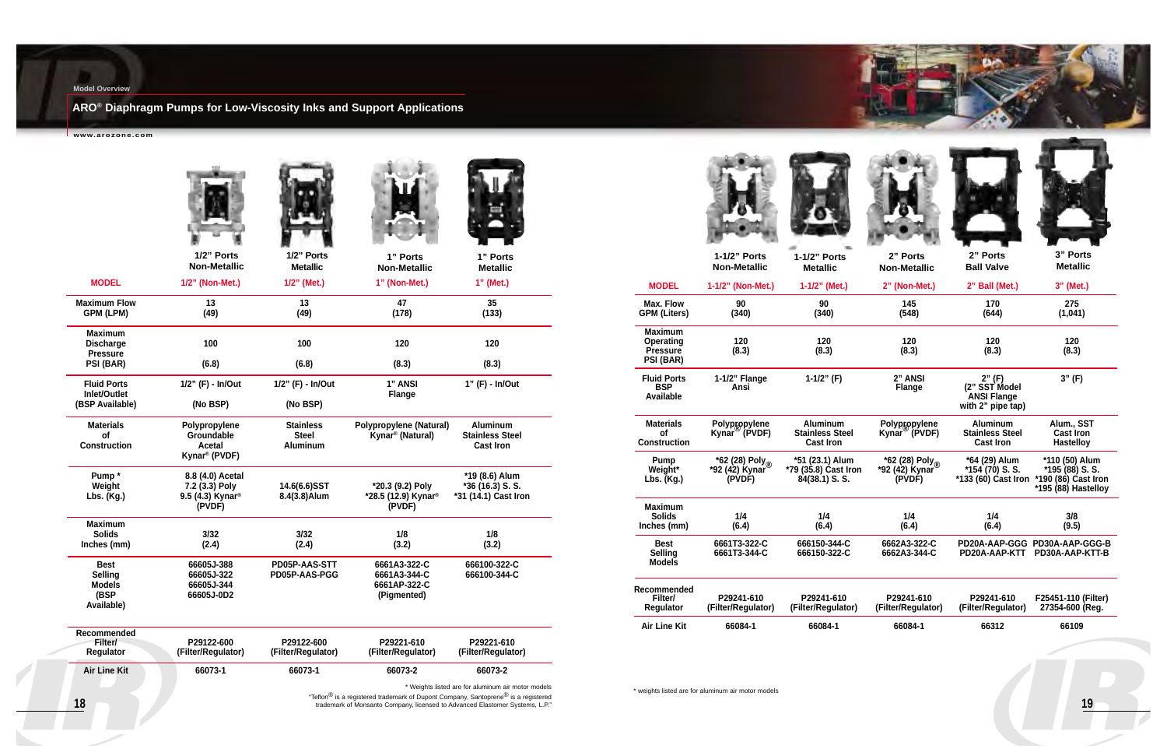**19**

## **ARO® Diaphragm Pumps for Low-Viscosity Inks and Support Applications**

**www.arozone.com**

#### **Model Overview**

|                                                                      | 1/2" Ports<br><b>Non-Metallic</b>                                            | 1/2" Ports<br><b>Metallic</b>                       | 1" Ports<br><b>Non-Metallic</b>                                                                                                                                                           | 1" Ports<br><b>Metallic</b>                                   |
|----------------------------------------------------------------------|------------------------------------------------------------------------------|-----------------------------------------------------|-------------------------------------------------------------------------------------------------------------------------------------------------------------------------------------------|---------------------------------------------------------------|
| <b>MODEL</b>                                                         | 1/2" (Non-Met.)                                                              | 1/2" (Met.)                                         | 1" (Non-Met.)                                                                                                                                                                             | 1" (Met.)                                                     |
| <b>Maximum Flow</b><br><b>GPM (LPM)</b>                              | 13<br>(49)                                                                   | 13<br>(49)                                          | 47<br>(178)                                                                                                                                                                               | 35<br>(133)                                                   |
| <b>Maximum</b><br><b>Discharge</b><br><b>Pressure</b>                | 100                                                                          | 100                                                 | 120                                                                                                                                                                                       | 120                                                           |
| PSI (BAR)                                                            | (6.8)                                                                        | (6.8)                                               | (8.3)                                                                                                                                                                                     | (8.3)                                                         |
| <b>Fluid Ports</b><br>Inlet/Outlet                                   | 1/2" (F) - In/Out                                                            | 1/2" (F) - In/Out                                   | 1" ANSI<br><b>Flange</b>                                                                                                                                                                  | 1" (F) - In/Out                                               |
| (BSP Available)                                                      | (No BSP)                                                                     | (No BSP)                                            |                                                                                                                                                                                           |                                                               |
| <b>Materials</b><br><b>of</b><br><b>Construction</b>                 | Polypropylene<br>Groundable<br><b>Acetal</b><br>Kynar <sup>®</sup> (PVDF)    | <b>Stainless</b><br><b>Steel</b><br><b>Aluminum</b> | <b>Polypropylene (Natural)</b><br>Kynar <sup>®</sup> (Natural)                                                                                                                            | <b>Aluminum</b><br><b>Stainless Steel</b><br><b>Cast Iron</b> |
| Pump*<br>Weight<br>Lbs. (Kg.)                                        | 8.8 (4.0) Acetal<br>7.2 (3.3) Poly<br>9.5 (4.3) Kynar <sup>®</sup><br>(PVDF) | 14.6(6.6)SST<br>8.4(3.8) Alum                       | *20.3 (9.2) Poly<br>*28.5 (12.9) Kynar <sup>®</sup><br>(PVDF)                                                                                                                             | *19 (8.6) Alum<br>*36 (16.3) S.S.<br>*31 (14.1) Cast Iron     |
| <b>Maximum</b>                                                       |                                                                              |                                                     |                                                                                                                                                                                           |                                                               |
| <b>Solids</b><br>Inches (mm)                                         | 3/32<br>(2.4)                                                                | 3/32<br>(2.4)                                       | 1/8<br>(3.2)                                                                                                                                                                              | 1/8<br>(3.2)                                                  |
| <b>Best</b><br><b>Selling</b><br><b>Models</b><br>(BSP<br>Available) | 66605J-388<br>66605J-322<br>66605J-344<br>66605J-0D2                         | PD05P-AAS-STT<br>PD05P-AAS-PGG                      | 6661A3-322-C<br>6661A3-344-C<br>6661AP-322-C<br>(Pigmented)                                                                                                                               | 666100-322-C<br>666100-344-C                                  |
| Recommended<br>Filter/<br>Regulator                                  | P29122-600<br>(Filter/Regulator)                                             | P29122-600<br>(Filter/Regulator)                    | P29221-610<br>(Filter/Regulator)                                                                                                                                                          | P29221-610<br>(Filter/Regulator)                              |
| <b>Air Line Kit</b>                                                  | 66073-1                                                                      | 66073-1                                             | 66073-2                                                                                                                                                                                   | 66073-2                                                       |
| 18                                                                   |                                                                              |                                                     | "Teflon <sup>®</sup> is a registered trademark of Dupont Company, Santoprene <sup>®</sup> is a registered<br>trademark of Monsanto Company, licensed to Advanced Elastomer Systems, L.P." | * Weights listed are for aluminum air motor models            |



|                                                                    | 1-1/2" Ports<br><b>Non-Metallic</b>                    | 1-1/2" Ports<br><b>Metallic</b>                               | 2" Ports<br><b>Non-Metallic</b>                         | 2" Ports<br><b>Ball Valve</b>                                      | 3" Ports<br><b>Metallic</b>                                                     |
|--------------------------------------------------------------------|--------------------------------------------------------|---------------------------------------------------------------|---------------------------------------------------------|--------------------------------------------------------------------|---------------------------------------------------------------------------------|
| <b>MODEL</b>                                                       | 1-1/2" (Non-Met.)                                      | 1-1/2" (Met.)                                                 | 2" (Non-Met.)                                           | 2" Ball (Met.)                                                     | 3" (Met.)                                                                       |
| Max. Flow<br><b>GPM (Liters)</b>                                   | 90<br>(340)                                            | 90<br>(340)                                                   | 145<br>(548)                                            | 170<br>(644)                                                       | 275<br>(1,041)                                                                  |
| <b>Maximum</b><br><b>Operating</b><br><b>Pressure</b><br>PSI (BAR) | 120<br>(8.3)                                           | 120<br>(8.3)                                                  | 120<br>(8.3)                                            | 120<br>(8.3)                                                       | 120<br>(8.3)                                                                    |
| <b>Fluid Ports</b><br><b>BSP</b><br>Available                      | 1-1/2" Flange<br>Ansi                                  | $1-1/2"$ (F)                                                  | 2" ANSI<br><b>Flange</b>                                | 2" (F)<br>(2" SST Model<br><b>ANSI Flange</b><br>with 2" pipe tap) | 3" (F)                                                                          |
| <b>Materials</b><br><b>of</b><br><b>Construction</b>               | Polypgopylene<br>Kynar <sup>®</sup> (PVDF)             | <b>Aluminum</b><br><b>Stainless Steel</b><br><b>Cast Iron</b> | Polypgopylene<br>Kynar <sup>®</sup> (PVDF)              | <b>Aluminum</b><br><b>Stainless Steel</b><br><b>Cast Iron</b>      | Alum., SST<br><b>Cast Iron</b><br><b>Hastelloy</b>                              |
| Pump<br>Weight*<br>Lbs. $(Kg.)$                                    | *62 (28) Poly <sub>®</sub><br>*92 (42) Kynar<br>(PVDF) | *51 (23.1) Alum<br>*79 (35.8) Cast Iron<br>84(38.1) S.S.      | *62 (28) Poly <sub>®</sub><br>*92 (42) Kynar`<br>(PVDF) | *64 (29) Alum<br>$*154(70)$ S.S.<br>$*133(60)$ Cast Iron           | *110 (50) Alum<br>$*195(88)$ S.S.<br>*190 (86) Cast Iron<br>*195 (88) Hastelloy |
| <b>Maximum</b><br><b>Solids</b><br>Inches (mm)                     | 1/4<br>(6.4)                                           | 1/4<br>(6.4)                                                  | 1/4<br>(6.4)                                            | 1/4<br>(6.4)                                                       | 3/8<br>(9.5)                                                                    |
| <b>Best</b><br>Selling<br><b>Models</b>                            | 6661T3-322-C<br>6661T3-344-C                           | 666150-344-C<br>666150-322-C                                  | 6662A3-322-C<br>6662A3-344-C                            | PD20A-AAP-KTT                                                      | PD20A-AAP-GGG PD30A-AAP-GGG-B<br>PD30A-AAP-KTT-B                                |
| Recommended<br>Filter/<br><b>Regulator</b>                         | P29241-610<br>(Filter/Regulator)                       | P29241-610<br>(Filter/Regulator)                              | P29241-610<br>(Filter/Regulator)                        | P29241-610<br>(Filter/Regulator)                                   | F25451-110 (Filter)<br>27354-600 (Reg.                                          |
| <b>Air Line Kit</b>                                                | 66084-1                                                | 66084-1                                                       | 66084-1                                                 | 66312                                                              | 66109                                                                           |
|                                                                    |                                                        |                                                               |                                                         |                                                                    |                                                                                 |

<u>en de co</u>

\* weights listed are for aluminum air motor models

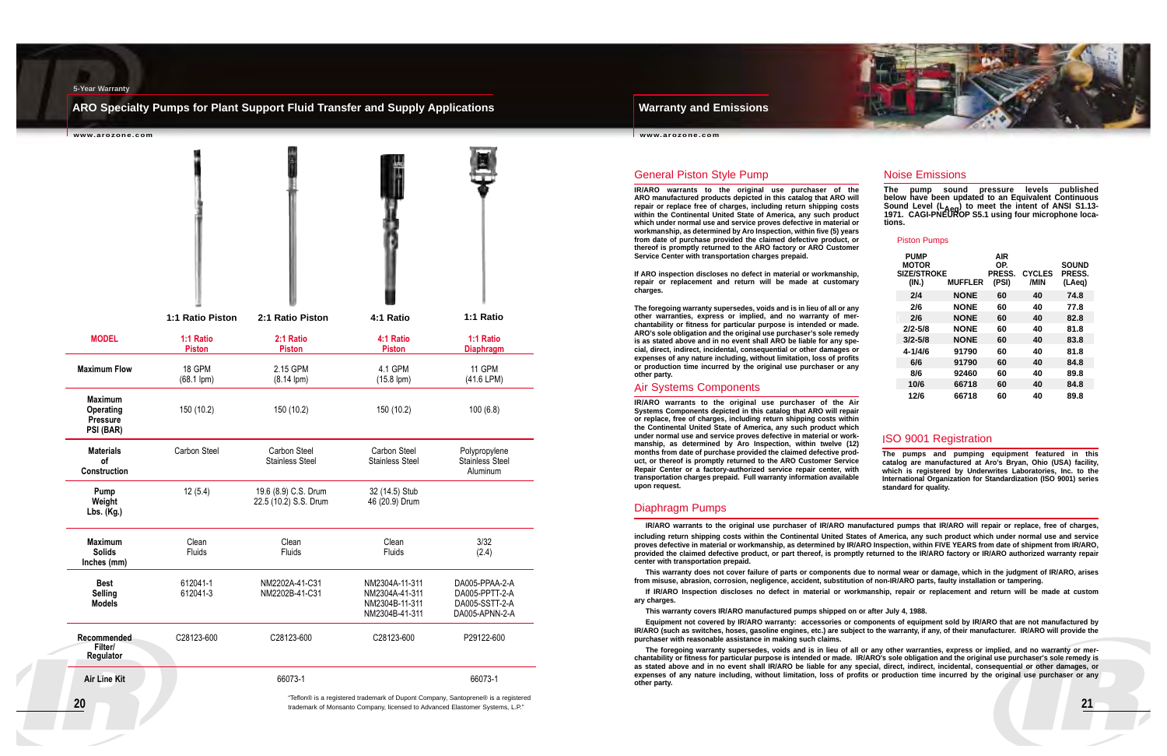#### **Warranty and Emissions**

**www.arozone.com**

#### **ARO Specialty Pumps for Plant Support Fluid Transfer and Supply Applications**

#### **5-Year Warranty**

| www.arozone.com                                                    |                            |                                               |                                                                      |                                                                      |
|--------------------------------------------------------------------|----------------------------|-----------------------------------------------|----------------------------------------------------------------------|----------------------------------------------------------------------|
|                                                                    |                            |                                               |                                                                      |                                                                      |
|                                                                    | 1:1 Ratio Piston           | 2:1 Ratio Piston                              | 4:1 Ratio                                                            | 1:1 Ratio                                                            |
| <b>MODEL</b>                                                       | 1:1 Ratio<br><b>Piston</b> | 2:1 Ratio<br><b>Piston</b>                    | 4:1 Ratio<br><b>Piston</b>                                           | 1:1 Ratio<br><b>Diaphragm</b>                                        |
| <b>Maximum Flow</b>                                                | 18 GPM<br>$(68.1$ lpm $)$  | 2.15 GPM<br>$(8.14$ lpm $)$                   | 4.1 GPM<br>$(15.8$ lpm $)$                                           | 11 GPM<br>(41.6 LPM)                                                 |
| <b>Maximum</b><br><b>Operating</b><br><b>Pressure</b><br>PSI (BAR) | 150 (10.2)                 | 150 (10.2)                                    | 150 (10.2)                                                           | 100(6.8)                                                             |
| <b>Materials</b><br><b>of</b><br>Construction                      | Carbon Steel               | <b>Carbon Steel</b><br><b>Stainless Steel</b> | Carbon Steel<br><b>Stainless Steel</b>                               | Polypropylene<br><b>Stainless Steel</b><br>Aluminum                  |
| Pump<br>Weight<br>Lbs. (Kg.)                                       | 12(5.4)                    | 19.6 (8.9) C.S. Drum<br>22.5 (10.2) S.S. Drum | 32 (14.5) Stub<br>46 (20.9) Drum                                     |                                                                      |
| <b>Maximum</b><br><b>Solids</b><br>Inches (mm)                     | Clean<br>Fluids            | Clean<br>Fluids                               | Clean<br>Fluids                                                      | 3/32<br>(2.4)                                                        |
| <b>Best</b><br><b>Selling</b><br><b>Models</b>                     | 612041-1<br>612041-3       | NM2202A-41-C31<br>NM2202B-41-C31              | NM2304A-11-311<br>NM2304A-41-311<br>NM2304B-11-311<br>NM2304B-41-311 | DA005-PPAA-2-A<br>DA005-PPTT-2-A<br>DA005-SSTT-2-A<br>DA005-APNN-2-A |
| Recommended<br>Filter/<br>Regulator                                | C28123-600                 | C28123-600                                    | C28123-600                                                           | P29122-600                                                           |
| <b>Air Line Kit</b>                                                |                            | 66073-1                                       |                                                                      | 66073-1                                                              |

"Teflon® is a registered trademark of Dupont Company, Santoprene® is a registered trademark of Monsanto Company, licensed to Advanced Elastomer Systems, L.P."



#### Piston Pumps

| <b>PUMP</b><br><b>MOTOR</b><br><b>SIZE/STROKE</b><br>(IN.) | <b>MUFFLER</b> | AIR<br>OP.<br><b>PRESS.</b><br>(PSI) | <b>CYCLES</b><br>/MIN | <b>SOUND</b><br>PRESS.<br>(LAeg) |
|------------------------------------------------------------|----------------|--------------------------------------|-----------------------|----------------------------------|
| 2/4                                                        | <b>NONE</b>    | 60                                   | 40                    | 74.8                             |
| 2/6                                                        | <b>NONE</b>    | 60                                   | 40                    | 77.8                             |
| 2/6                                                        | <b>NONE</b>    | 60                                   | 40                    | 82.8                             |
| $2/2 - 5/8$                                                | <b>NONE</b>    | 60                                   | 40                    | 81.8                             |
| $3/2 - 5/8$                                                | <b>NONE</b>    | 60                                   | 40                    | 83.8                             |
| 4-1/4/6                                                    | 91790          | 60                                   | 40                    | 81.8                             |
| 6/6                                                        | 91790          | 60                                   | 40                    | 84.8                             |
| 8/6                                                        | 92460          | 60                                   | 40                    | 89.8                             |
| 10/6                                                       | 66718          | 60                                   | 40                    | 84.8                             |
| 12/6                                                       | 66718          | 60                                   | 40                    | 89.8                             |

#### General Piston Style Pump

**IR/ARO warrants to the original use purchaser of the ARO manufactured products depicted in this catalog that ARO will repair or replace free of charges, including return shipping costs within the Continental United State of America, any such product which under normal use and service proves defective in material or workmanship, as determined by Aro Inspection, within five (5) years from date of purchase provided the claimed defective product, or thereof is promptly returned to the ARO factory or ARO Customer Service Center with transportation charges prepaid.**

**If ARO inspection discloses no defect in material or workmanship, repair or replacement and return will be made at customary charges.**

**The foregoing warranty supersedes, voids and is in lieu of all or any other warranties, express or implied, and no warranty of merchantability or fitness for particular purpose is intended or made. ARO's sole obligation and the original use purchaser's sole remedy is as stated above and in no event shall ARO be liable for any special, direct, indirect, incidental, consequential or other damages or expenses of any nature including, without limitation, loss of profits or production time incurred by the original use purchaser or any other party.**

#### Air Systems Components

**IR/ARO warrants to the original use purchaser of the Air Systems Components depicted in this catalog that ARO will repair or replace, free of charges, including return shipping costs within the Continental United State of America, any such product which under normal use and service proves defective in material or workmanship, as determined by Aro Inspection, within twelve (12) months from date of purchase provided the claimed defective product, or thereof is promptly returned to the ARO Customer Service Repair Center or a factory-authorized service repair center, with transportation charges prepaid. Full warranty information available upon request.**

#### Diaphragm Pumps

**IR/ARO warrants to the original use purchaser of IR/ARO manufactured pumps that IR/ARO will repair or replace, free of charges,**

**including return shipping costs within the Continental United States of America, any such product which under normal use and service proves defective in material or workmanship, as determined by IR/ARO Inspection, within FIVE YEARS from date of shipment from IR/ARO, provided the claimed defective product, or part thereof, is promptly returned to the IR/ARO factory or IR/ARO authorized warranty repair center with transportation prepaid.**

**This warranty does not cover failure of parts or components due to normal wear or damage, which in the judgment of IR/ARO, arises from misuse, abrasion, corrosion, negligence, accident, substitution of non-IR/ARO parts, faulty installation or tampering.**

**If IR/ARO Inspection discloses no defect in material or workmanship, repair or replacement and return will be made at custom ary charges.**

**This warranty covers IR/ARO manufactured pumps shipped on or after July 4, 1988.**

**Equipment not covered by IR/ARO warranty: accessories or components of equipment sold by IR/ARO that are not manufactured by IR/ARO (such as switches, hoses, gasoline engines, etc.) are subject to the warranty, if any, of their manufacturer. IR/ARO will provide the purchaser with reasonable assistance in making such claims.**

**The foregoing warranty supersedes, voids and is in lieu of all or any other warranties, express or implied, and no warranty or merchantability or fitness for particular purpose is intended or made. IR/ARO's sole obligation and the original use purchaser's sole remedy is as stated above and in no event shall IR/ARO be liable for any special, direct, indirect, incidental, consequential or other damages, or expenses of any nature including, without limitation, loss of profits or production time incurred by the original use purchaser or any other party.**

#### ISO 9001 Registration

**The pumps and pumping equipment featured in this catalog are manufactured at Aro's Bryan, Ohio (USA) facility, which is registered by Underwrites Laboratories, Inc. to the International Organization for Standardization (ISO 9001) series standard for quality.**

#### Noise Emissions

**The pump sound pressure levels published below have been updated to an Equivalent Continuous Sound Level (LAeq) to meet the intent of ANSI S1.13- 1971. CAGI-PNEUROP S5.1 using four microphone locations.**